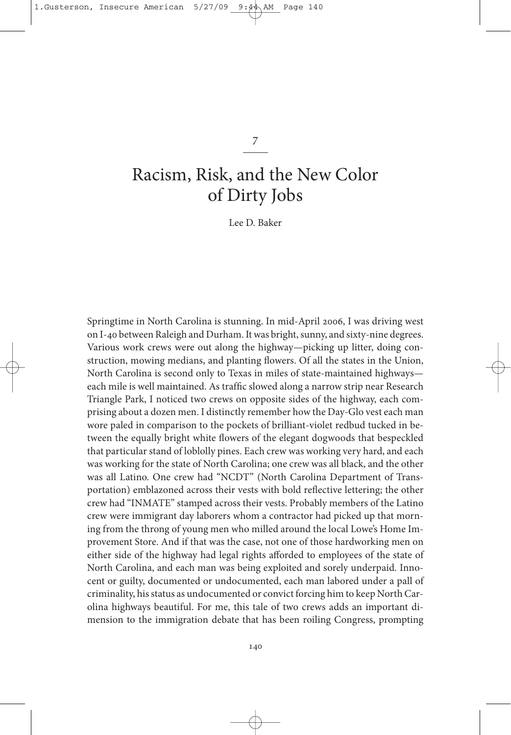1.Gusterson, Insecure American  $5/27/09$  9: $4\text{\AA}$  AM Page

7

# Racism, Risk, and the New Color of Dirty Jobs

lee D. Baker

springtime in north Carolina is stunning. In mid-April 2006, I was driving west on I-40 between Raleigh and Durham. It was bright, sunny, and sixty-nine degrees. various work crews were out along the highway—picking up litter, doing construction, mowing medians, and planting flowers. of all the states in the Union, North Carolina is second only to Texas in miles of state-maintained highwayseach mile is well maintained. As traffic slowed along a narrow strip near Research Triangle Park, I noticed two crews on opposite sides of the highway, each comprising about a dozen men. I distinctly remember how the Day-Glo vest each man wore paled in comparison to the pockets of brilliant-violet redbud tucked in between the equally bright white flowers of the elegant dogwoods that bespeckled that particular stand of loblolly pines. Each crew was working very hard, and each was working for the state of North Carolina; one crew was all black, and the other was all Latino. One crew had "NCDT" (North Carolina Department of Transportation) emblazoned across their vests with bold reflective lettering; the other crew had "InMAtE" stamped across their vests. Probably members of the latino crew were immigrant day laborers whom a contractor had picked up that morning from the throng of young men who milled around the local lowe's Home Improvement store. And if that was the case, not one of those hardworking men on either side of the highway had legal rights afforded to employees of the state of North Carolina, and each man was being exploited and sorely underpaid. Innocent or guilty, documented or undocumented, each man labored under a pall of criminality, his status as undocumented or convict forcing him to keep North Carolina highways beautiful. for me, this tale of two crews adds an important dimension to the immigration debate that has been roiling Congress, prompting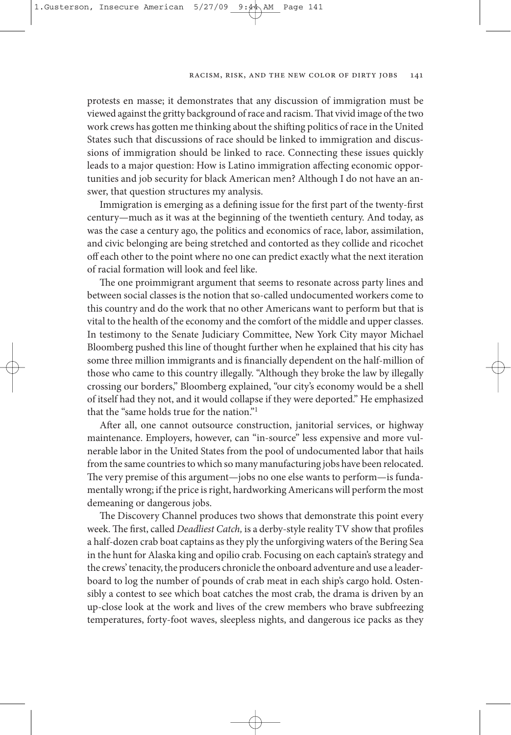protests en masse; it demonstrates that any discussion of immigration must be viewed against the gritty background of race and racism. That vivid image of the two work crews has gotten me thinking about the shifting politics of race in the United states such that discussions of race should be linked to immigration and discussions of immigration should be linked to race. Connecting these issues quickly leads to a major question: How is latino immigration affecting economic opportunities and job security for black American men? Although I do not have an answer, that question structures my analysis.

Immigration is emerging as a defining issue for the first part of the twenty-first century—much as it was at the beginning of the twentieth century. And today, as was the case a century ago, the politics and economics of race, labor, assimilation, and civic belonging are being stretched and contorted as they collide and ricochet off each other to the point where no one can predict exactly what the next iteration of racial formation will look and feel like.

The one proimmigrant argument that seems to resonate across party lines and between social classes is the notion that so-called undocumented workers come to this country and do the work that no other Americans want to perform but that is vital to the health of the economy and the comfort of the middle and upper classes. In testimony to the senate Judiciary Committee, new york City mayor Michael Bloomberg pushed this line of thought further when he explained that his city has some three million immigrants and is financially dependent on the half-million of those who came to this country illegally. "Although they broke the law by illegally crossing our borders," Bloomberg explained, "our city's economy would be a shell of itself had they not, and it would collapse if they were deported." He emphasized that the "same holds true for the nation."1

After all, one cannot outsource construction, janitorial services, or highway maintenance. Employers, however, can "in-source" less expensive and more vulnerable labor in the United States from the pool of undocumented labor that hails from the same countries to which so many manufacturing jobs have been relocated. e very premise of this argument—jobs no one else wants to perform—is fundamentally wrong; if the price is right, hardworking Americans will perform the most demeaning or dangerous jobs.

The Discovery Channel produces two shows that demonstrate this point every week. The first, called *Deadliest Catch*, is a derby-style reality TV show that profiles a half-dozen crab boat captains as they ply the unforgiving waters of the Bering Sea in the hunt for Alaska king and opilio crab. focusing on each captain's strategy and the crews' tenacity, the producers chronicle the onboard adventure and use a leaderboard to log the number of pounds of crab meat in each ship's cargo hold. Ostensibly a contest to see which boat catches the most crab, the drama is driven by an up-close look at the work and lives of the crew members who brave subfreezing temperatures, forty-foot waves, sleepless nights, and dangerous ice packs as they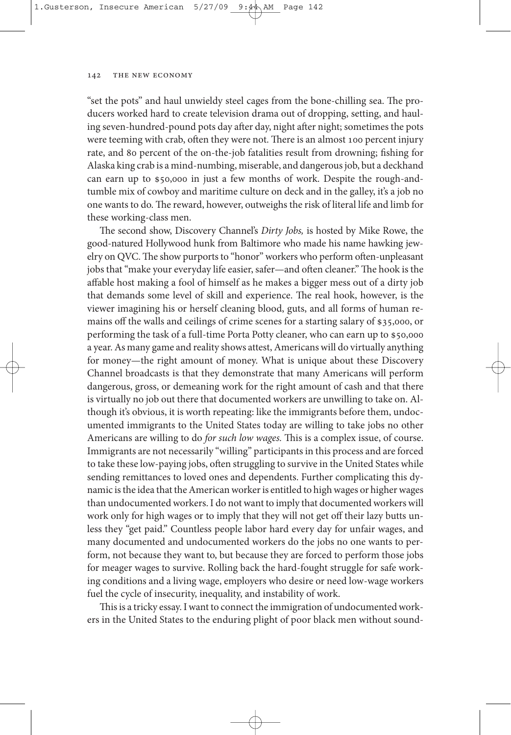"set the pots" and haul unwieldy steel cages from the bone-chilling sea. The producers worked hard to create television drama out of dropping, setting, and hauling seven-hundred-pound pots day after day, night after night; sometimes the pots were teeming with crab, often they were not. There is an almost 100 percent injury rate, and 80 percent of the on-the-job fatalities result from drowning; fishing for Alaska king crab is a mind-numbing, miserable, and dangerousjob, but a deckhand can earn up to \$50,000 in just a few months of work. Despite the rough-andtumble mix of cowboy and maritime culture on deck and in the galley, it's a job no one wants to do. The reward, however, outweighs the risk of literal life and limb for these working-class men.

The second show, Discovery Channel's Dirty Jobs, is hosted by Mike Rowe, the good-natured Hollywood hunk from Baltimore who made his name hawking jewelry on QVC. The show purports to "honor" workers who perform often-unpleasant jobs that "make your everyday life easier, safer—and often cleaner." The hook is the affable host making a fool of himself as he makes a bigger mess out of a dirty job that demands some level of skill and experience. The real hook, however, is the viewer imagining his or herself cleaning blood, guts, and all forms of human remains off the walls and ceilings of crime scenes for a starting salary of \$35,000, or performing the task of a full-time Porta Potty cleaner, who can earn up to \$50,000 a year. As many game and reality shows attest, Americans will do virtually anything for money—the right amount of money. What is unique about these Discovery Channel broadcasts is that they demonstrate that many Americans will perform dangerous, gross, or demeaning work for the right amount of cash and that there is virtually no job out there that documented workers are unwilling to take on. Although it's obvious, it is worth repeating: like the immigrants before them, undocumented immigrants to the United states today are willing to take jobs no other Americans are willing to do for such low wages. This is a complex issue, of course. Immigrants are not necessarily "willing" participants in this process and are forced to take these low-paying jobs, often struggling to survive in the United States while sending remittances to loved ones and dependents. further complicating this dynamic is the idea that the American worker is entitled to high wages or higher wages than undocumented workers. I do not want to imply that documented workers will work only for high wages or to imply that they will not get off their lazy butts unless they "get paid." Countless people labor hard every day for unfair wages, and many documented and undocumented workers do the jobs no one wants to perform, not because they want to, but because they are forced to perform those jobs for meager wages to survive. Rolling back the hard-fought struggle for safe working conditions and a living wage, employers who desire or need low-wage workers fuel the cycle of insecurity, inequality, and instability of work.

This is a tricky essay. I want to connect the immigration of undocumented workers in the United States to the enduring plight of poor black men without sound-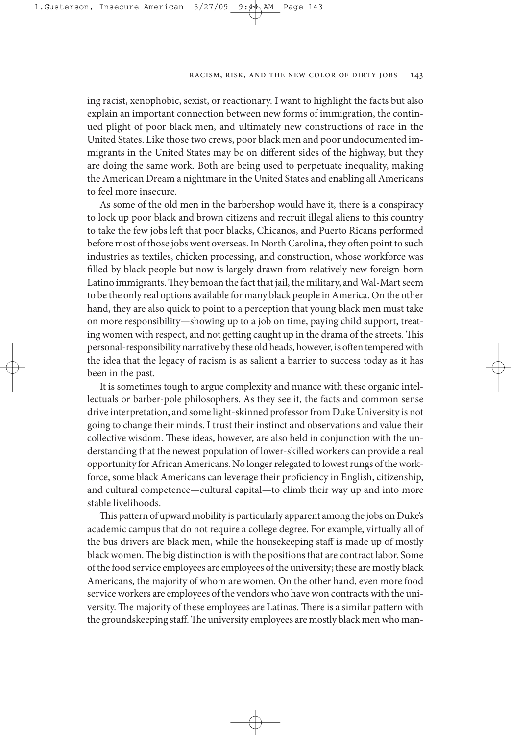#### Racism, Risk, and the New Color of Dirty Jobs 143

ing racist, xenophobic, sexist, or reactionary. I want to highlight the facts but also explain an important connection between new forms of immigration, the continued plight of poor black men, and ultimately new constructions of race in the United States. Like those two crews, poor black men and poor undocumented immigrants in the United states may be on different sides of the highway, but they are doing the same work. Both are being used to perpetuate inequality, making the American Dream a nightmare in the United states and enabling all Americans to feel more insecure.

As some of the old men in the barbershop would have it, there is a conspiracy to lock up poor black and brown citizens and recruit illegal aliens to this country to take the few jobs left that poor blacks, Chicanos, and Puerto Ricans performed before most of those jobs went overseas. In North Carolina, they often point to such industries as textiles, chicken processing, and construction, whose workforce was filled by black people but now is largely drawn from relatively new foreign-born Latino immigrants. They bemoan the fact that jail, the military, and Wal-Mart seem to be the only real options available for many black people in America. On the other hand, they are also quick to point to a perception that young black men must take on more responsibility—showing up to a job on time, paying child support, treating women with respect, and not getting caught up in the drama of the streets. This personal-responsibility narrative by these old heads, however, is often tempered with the idea that the legacy of racism is as salient a barrier to success today as it has been in the past.

It is sometimes tough to argue complexity and nuance with these organic intellectuals or barber-pole philosophers. As they see it, the facts and common sense drive interpretation, and some light-skinned professor from Duke University is not going to change their minds. I trust their instinct and observations and value their collective wisdom. These ideas, however, are also held in conjunction with the understanding that the newest population of lower-skilled workers can provide a real opportunity for African Americans. No longer relegated to lowest rungs of the workforce, some black Americans can leverage their proficiency in English, citizenship, and cultural competence—cultural capital—to climb their way up and into more stable livelihoods.

This pattern of upward mobility is particularly apparent among the jobs on Duke's academic campus that do not require a college degree. for example, virtually all of the bus drivers are black men, while the housekeeping staff is made up of mostly black women. The big distinction is with the positions that are contract labor. Some of the food service employees are employees of the university; these are mostly black Americans, the majority of whom are women. On the other hand, even more food service workers are employees of the vendors who have won contracts with the university. The majority of these employees are Latinas. There is a similar pattern with the groundskeeping staff. The university employees are mostly black men who man-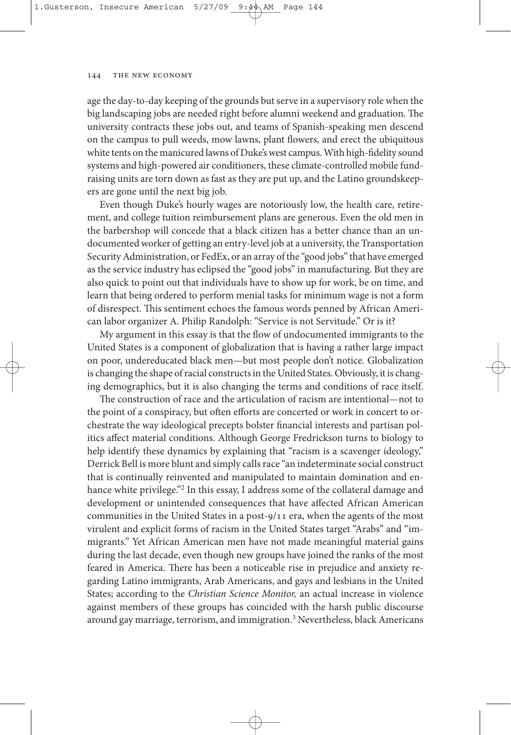age the day-to-day keeping of the grounds but serve in a supervisory role when the big landscaping jobs are needed right before alumni weekend and graduation. The university contracts these jobs out, and teams of spanish-speaking men descend on the campus to pull weeds, mow lawns, plant flowers, and erect the ubiquitous white tents on the manicured lawns of Duke's west campus. With high-fidelity sound systems and high-powered air conditioners, these climate-controlled mobile fundraising units are torn down as fast as they are put up, and the latino groundskeepers are gone until the next big job.

Even though Duke's hourly wages are notoriously low, the health care, retirement, and college tuition reimbursement plans are generous. Even the old men in the barbershop will concede that a black citizen has a better chance than an undocumented worker of getting an entry-level job at a university, the Transportation securityAdministration, or fedEx, or an array of the "good jobs" that have emerged as the service industry has eclipsed the "good jobs" in manufacturing. But they are also quick to point out that individuals have to show up for work, be on time, and learn that being ordered to perform menial tasks for minimum wage is not a form of disrespect. This sentiment echoes the famous words penned by African American labor organizer A. Philip Randolph: "Service is not Servitude." Or is it?

My argument in this essay is that the flow of undocumented immigrants to the United states is a component of globalization that is having a rather large impact on poor, undereducated black men—but most people don't notice. Globalization is changing the shape of racial constructs in the United States. Obviously, it is changing demographics, but it is also changing the terms and conditions of race itself.

The construction of race and the articulation of racism are intentional—not to the point of a conspiracy, but often efforts are concerted or work in concert to orchestrate the way ideological precepts bolster financial interests and partisan politics affect material conditions. Although George fredrickson turns to biology to help identify these dynamics by explaining that "racism is a scavenger ideology," Derrick Bell is more blunt and simply callsrace "an indeterminate social construct that is continually reinvented and manipulated to maintain domination and enhance white privilege."<sup>2</sup> In this essay, I address some of the collateral damage and development or unintended consequences that have affected African American communities in the United States in a post-9/11 era, when the agents of the most virulent and explicit forms of racism in the United states target "Arabs" and "immigrants." yet African American men have not made meaningful material gains during the last decade, even though new groups have joined the ranks of the most feared in America. There has been a noticeable rise in prejudice and anxiety regarding latino immigrants, Arab Americans, and gays and lesbians in the United states; according to the Christian Science Monitor, an actual increase in violence against members of these groups has coincided with the harsh public discourse around gay marriage, terrorism, and immigration.<sup>3</sup> Nevertheless, black Americans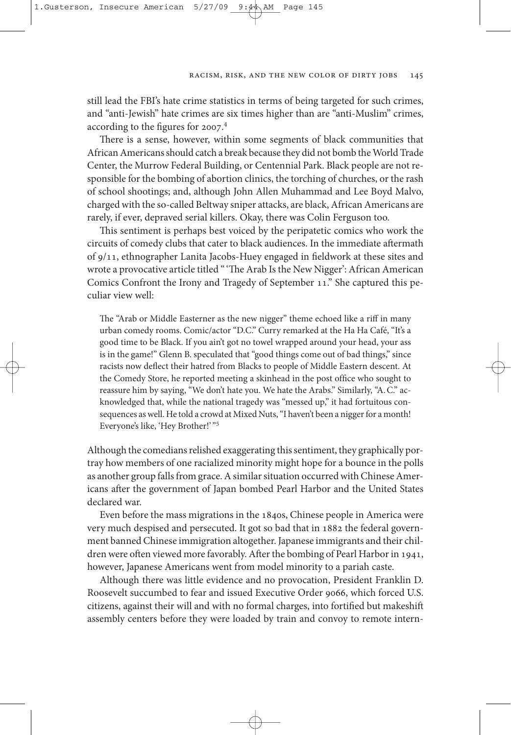still lead the fBI's hate crime statistics in terms of being targeted for such crimes, and "anti-Jewish" hate crimes are six times higher than are "anti-Muslim" crimes, according to the figures for 2007. 4

There is a sense, however, within some segments of black communities that African Americans should catch a break because they did not bomb the World Trade Center, the Murrow federal Building, or Centennial Park. Black people are not responsible for the bombing of abortion clinics, the torching of churches, or the rash of school shootings; and, although John Allen Muhammad and lee Boyd Malvo, charged with the so-called Beltway sniper attacks, are black, African Americans are rarely, if ever, depraved serial killers. Okay, there was Colin Ferguson too.

This sentiment is perhaps best voiced by the peripatetic comics who work the circuits of comedy clubs that cater to black audiences. In the immediate aftermath of 9/11, ethnographer lanita Jacobs-Huey engaged in fieldwork at these sites and wrote a provocative article titled "'The Arab Is the New Nigger': African American Comics Confront the Irony and Tragedy of September 11." She captured this peculiar view well:

The "Arab or Middle Easterner as the new nigger" theme echoed like a riff in many urban comedy rooms. Comic/actor "D.C." Curry remarked at the Ha Ha Café, "It's a good time to be Black. If you ain't got no towel wrapped around your head, your ass is in the game!" Glenn B. speculated that "good things come out of bad things," since racists now deflect their hatred from Blacks to people of Middle Eastern descent. At the Comedy store, he reported meeting a skinhead in the post office who sought to reassure him by saying, "We don't hate you. We hate the Arabs." similarly, "A.C." acknowledged that, while the national tragedy was "messed up," it had fortuitous consequences as well. He told a crowd at Mixed Nuts, "I haven't been a nigger for a month! Everyone's like, 'Hey Brother!' "5

Although the comedians relished exaggerating this sentiment, they graphically portray how members of one racialized minority might hope for a bounce in the polls as another group falls from grace. A similar situation occurred with Chinese Americans after the government of Japan bombed Pearl Harbor and the United States declared war.

Even before the mass migrations in the 1840s, Chinese people in America were very much despised and persecuted. It got so bad that in 1882 the federal government banned Chinese immigration altogether. Japanese immigrants and their children were often viewed more favorably. After the bombing of Pearl Harbor in 1941, however, Japanese Americans went from model minority to a pariah caste.

Although there was little evidence and no provocation, President franklin D. Roosevelt succumbed to fear and issued Executive Order 9066, which forced U.S. citizens, against their will and with no formal charges, into fortified but makeshi assembly centers before they were loaded by train and convoy to remote intern-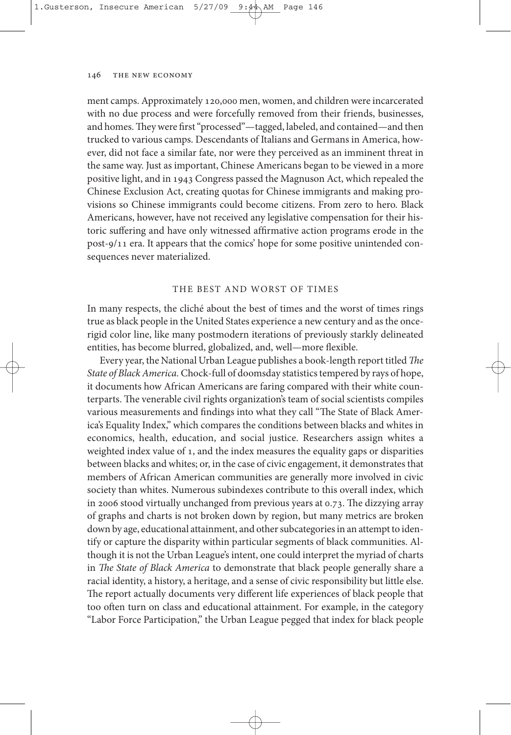ment camps. Approximately 120,000 men, women, and children were incarcerated with no due process and were forcefully removed from their friends, businesses, and homes. They were first "processed"—tagged, labeled, and contained—and then trucked to various camps. Descendants of Italians and Germans in America, however, did not face a similar fate, nor were they perceived as an imminent threat in the same way. Just as important, Chinese Americans began to be viewed in a more positive light, and in 1943 Congress passed the Magnuson Act, which repealed the Chinese Exclusion Act, creating quotas for Chinese immigrants and making provisions so Chinese immigrants could become citizens. from zero to hero. Black Americans, however, have not received any legislative compensation for their historic suffering and have only witnessed affirmative action programs erode in the post-9/11 era. It appears that the comics' hope for some positive unintended consequences never materialized.

## tHE BEst AnD Worst of tIMEs

In many respects, the cliché about the best of times and the worst of times rings true as black people in the United states experience a new century and as the oncerigid color line, like many postmodern iterations of previously starkly delineated entities, has become blurred, globalized, and, well—more flexible.

Every year, the National Urban League publishes a book-length report titled The State of Black America. Chock-full of doomsday statistics tempered by rays of hope, it documents how African Americans are faring compared with their white counterparts. The venerable civil rights organization's team of social scientists compiles various measurements and findings into what they call "The State of Black America's Equality Index," which compares the conditions between blacks and whites in economics, health, education, and social justice. Researchers assign whites a weighted index value of 1, and the index measures the equality gaps or disparities between blacks and whites; or, in the case of civic engagement, it demonstrates that members of African American communities are generally more involved in civic society than whites. Numerous subindexes contribute to this overall index, which in 2006 stood virtually unchanged from previous years at  $0.73$ . The dizzying array of graphs and charts is not broken down by region, but many metrics are broken down by age, educational attainment, and other subcategories in an attempt to identify or capture the disparity within particular segments of black communities. Although it is not the Urban league's intent, one could interpret the myriad of charts in The State of Black America to demonstrate that black people generally share a racial identity, a history, a heritage, and a sense of civic responsibility but little else. The report actually documents very different life experiences of black people that too often turn on class and educational attainment. For example, in the category "labor force Participation," the Urban league pegged that index for black people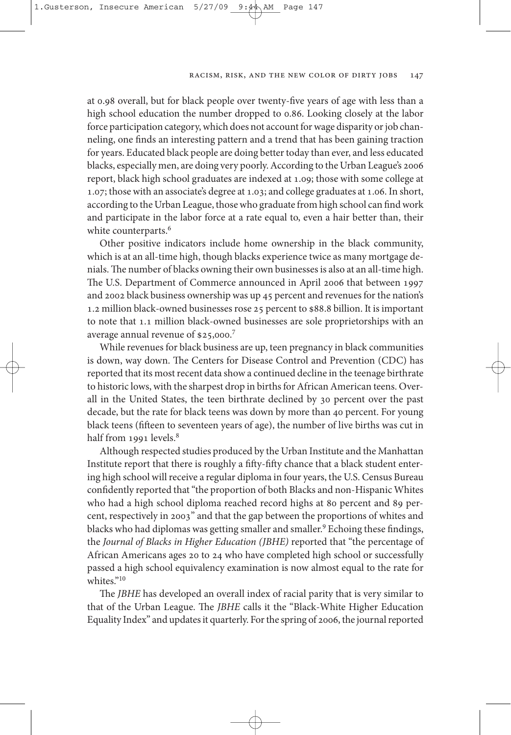at 0.98 overall, but for black people over twenty-five years of age with less than a high school education the number dropped to 0.86. looking closely at the labor force participation category, which does not account for wage disparity or job channeling, one finds an interesting pattern and a trend that has been gaining traction for years. Educated black people are doing bettertoday than ever, and less educated blacks, especially men, are doing very poorly.According to the Urban league's 2006 report, black high school graduates are indexed at 1.09; those with some college at 1.07; those with an associate's degree at 1.03; and college graduates at 1.06. In short, according to the Urban league, thosewho graduate from high school can findwork and participate in the labor force at a rate equal to, even a hair better than, their white counterparts. 6

other positive indicators include home ownership in the black community, which is at an all-time high, though blacks experience twice as many mortgage denials. The number of blacks owning their own businesses is also at an all-time high. The U.S. Department of Commerce announced in April 2006 that between 1997 and 2002 black business ownership was up 45 percent and revenuesforthe nation's 1.2 million black-owned businesses rose 25 percent to \$88.8 billion. It is important to note that 1.1 million black-owned businesses are sole proprietorships with an average annual revenue of \$25,000.7

While revenues for black business are up, teen pregnancy in black communities is down, way down. The Centers for Disease Control and Prevention (CDC) has reported that its most recent data show a continued decline in the teenage birthrate to historic lows, with the sharpest drop in births for African American teens. Overall in the United states, the teen birthrate declined by 30 percent over the past decade, but the rate for black teens was down by more than 40 percent. for young black teens (fifteen to seventeen years of age), the number of live births was cut in half from 1991 levels. 8

Although respected studies produced by the Urban Institute and the Manhattan Institute report that there is roughly a fifty-fifty chance that a black student entering high school will receive a regular diploma in four years, the U.S. Census Bureau confidently reported that"the proportion of both Blacks and non-Hispanic Whites who had a high school diploma reached record highs at 80 percent and 89 percent, respectively in 2003" and that the gap between the proportions of whites and blacks who had diplomas was getting smaller and smaller. <sup>9</sup> Echoing these findings, the Journal of Blacks in Higher Education (JBHE) reported that "the percentage of African Americans ages 20 to 24 who have completed high school or successfully passed a high school equivalency examination is now almost equal to the rate for whites."<sup>10</sup>

The JBHE has developed an overall index of racial parity that is very similar to that of the Urban League. The *JBHE* calls it the "Black-White Higher Education" Equality Index" and updates it quarterly. For the spring of 2006, the journal reported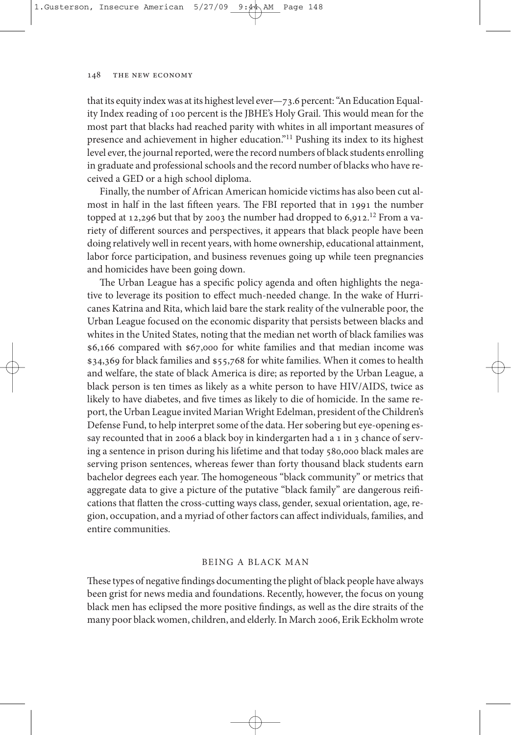that its equity index was at its highest level ever-73.6 percent: "An Education Equality Index reading of 100 percent is the JBHE's Holy Grail. This would mean for the most part that blacks had reached parity with whites in all important measures of presence and achievement in higher education."11 Pushing its index to its highest level ever, the journal reported, were the record numbers of black students enrolling in graduate and professional schools and the record number of blacks who have received a GED or a high school diploma.

finally, the number of African American homicide victims has also been cut almost in half in the last fifteen years. The FBI reported that in 1991 the number topped at 12,296 but that by 2003 the number had dropped to 6,912.<sup>12</sup> From a variety of different sources and perspectives, it appears that black people have been doing relatively well in recent years, with home ownership, educational attainment, labor force participation, and business revenues going up while teen pregnancies and homicides have been going down.

The Urban League has a specific policy agenda and often highlights the negative to leverage its position to effect much-needed change. In the wake of Hurricanes Katrina and Rita, which laid bare the stark reality of the vulnerable poor, the Urban league focused on the economic disparity that persists between blacks and whites in the United States, noting that the median net worth of black families was \$6,166 compared with \$67,000 for white families and that median income was \$34,369 for black families and \$55,768 for white families. When it comes to health and welfare, the state of black America is dire; as reported by the Urban league, a black person is ten times as likely as a white person to have HIv/AIDs, twice as likely to have diabetes, and five times as likely to die of homicide. In the same report, the Urban League invited Marian Wright Edelman, president of the Children's Defense Fund, to help interpret some of the data. Her sobering but eye-opening essay recounted that in 2006 a black boy in kindergarten had a 1 in 3 chance of serving a sentence in prison during his lifetime and that today 580,000 black males are serving prison sentences, whereas fewer than forty thousand black students earn bachelor degrees each year. The homogeneous "black community" or metrics that aggregate data to give a picture of the putative "black family" are dangerous reifications that flatten the cross-cutting ways class, gender, sexual orientation, age, region, occupation, and a myriad of other factors can affect individuals, families, and entire communities.

## BEInG A BlACK MAn

These types of negative findings documenting the plight of black people have always been grist for news media and foundations. Recently, however, the focus on young black men has eclipsed the more positive findings, as well as the dire straits of the many poor blackwomen, children, and elderly.In March 2006, Erik Eckholm wrote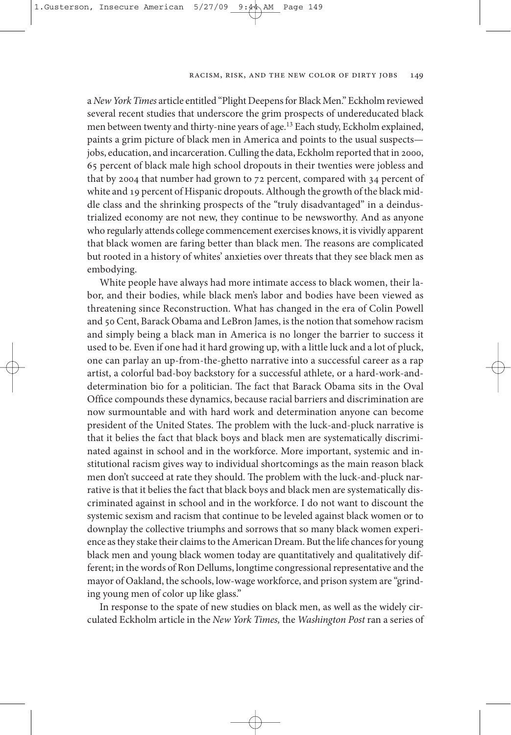a New York Times article entitled "Plight Deepens for Black Men." Eckholm reviewed several recent studies that underscore the grim prospects of undereducated black men between twenty and thirty-nine years of age.<sup>13</sup> Each study, Eckholm explained, paints a grim picture of black men in America and points to the usual suspects jobs, education, and incarceration. Culling the data, Eckholm reported that in 2000, 65 percent of black male high school dropouts in their twenties were jobless and that by 2004 that number had grown to 72 percent, compared with 34 percent of white and 19 percent of Hispanic dropouts. Although the growth of the black middle class and the shrinking prospects of the "truly disadvantaged" in a deindustrialized economy are not new, they continue to be newsworthy. And as anyone who regularly attends college commencement exercises knows, it is vividly apparent that black women are faring better than black men. The reasons are complicated but rooted in a history of whites' anxieties over threats that they see black men as embodying.

White people have always had more intimate access to black women, their labor, and their bodies, while black men's labor and bodies have been viewed as threatening since Reconstruction. What has changed in the era of Colin Powell and 50 Cent, Barack Obama and LeBron James, is the notion that somehow racism and simply being a black man in America is no longer the barrier to success it used to be. Even if one had it hard growing up, with a little luck and a lot of pluck, one can parlay an up-from-the-ghetto narrative into a successful career as a rap artist, a colorful bad-boy backstory for a successful athlete, or a hard-work-anddetermination bio for a politician. The fact that Barack Obama sits in the Oval office compounds these dynamics, because racial barriers and discrimination are now surmountable and with hard work and determination anyone can become president of the United States. The problem with the luck-and-pluck narrative is that it belies the fact that black boys and black men are systematically discriminated against in school and in the workforce. More important, systemic and institutional racism gives way to individual shortcomings as the main reason black men don't succeed at rate they should. The problem with the luck-and-pluck narrative is that it belies the fact that black boys and black men are systematically discriminated against in school and in the workforce. I do not want to discount the systemic sexism and racism that continue to be leveled against black women or to downplay the collective triumphs and sorrows that so many black women experience as they stake their claims to the American Dream. But the life chances for young black men and young black women today are quantitatively and qualitatively different; in the words of Ron Dellums, longtime congressional representative and the mayor of oakland, the schools, low-wage workforce, and prison system are "grinding young men of color up like glass."

In response to the spate of new studies on black men, as well as the widely circulated Eckholm article in the New York Times, the Washington Post ran a series of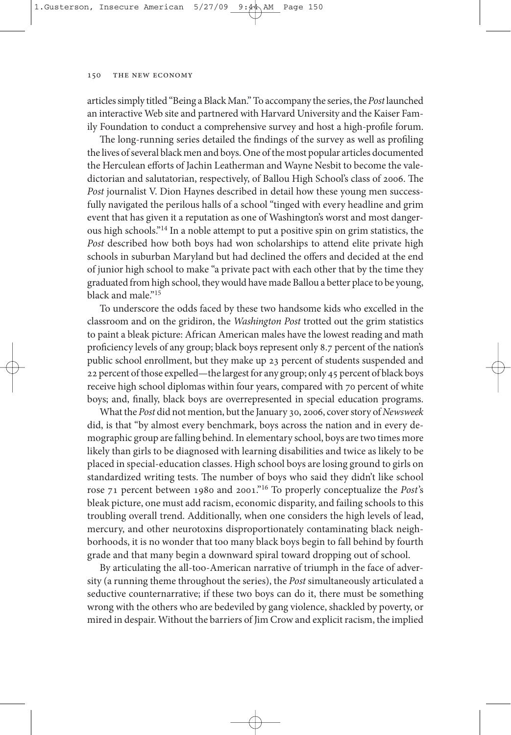articles simply titled "Being a Black Man." To accompany the series, the Post launched an interactive Web site and partnered with Harvard University and the Kaiser family foundation to conduct a comprehensive survey and host a high-profile forum.

The long-running series detailed the findings of the survey as well as profiling the lives of several black men and boys. One of the most popular articles documented the Herculean efforts of Jachin Leatherman and Wayne Nesbit to become the valedictorian and salutatorian, respectively, of Ballou High School's class of 2006. The Post journalist V. Dion Haynes described in detail how these young men successfully navigated the perilous halls of a school "tinged with every headline and grim event that has given it a reputation as one of Washington's worst and most dangerous high schools."14 In a noble attempt to put a positive spin on grim statistics, the Post described how both boys had won scholarships to attend elite private high schools in suburban Maryland but had declined the offers and decided at the end of junior high school to make "a private pact with each other that by the time they graduated from high school, they would have made Ballou a better place to be young, black and male."<sup>15</sup>

To underscore the odds faced by these two handsome kids who excelled in the classroom and on the gridiron, the Washington Post trotted out the grim statistics to paint a bleak picture: African American males have the lowest reading and math proficiency levels of any group; black boys represent only 8.7 percent of the nation's public school enrollment, but they make up 23 percent of students suspended and 22 percent of those expelled—the largest for any group; only 45 percent of black boys receive high school diplomas within four years, compared with 70 percent of white boys; and, finally, black boys are overrepresented in special education programs.

What the Post did not mention, but the January 30, 2006, cover story of Newsweek did, is that "by almost every benchmark, boys across the nation and in every demographic group are falling behind.In elementary school, boys are two times more likely than girls to be diagnosed with learning disabilities and twice as likely to be placed in special-education classes. High school boys are losing ground to girls on standardized writing tests. The number of boys who said they didn't like school rose 71 percent between 1980 and 2001."<sup>16</sup> To properly conceptualize the Post's bleak picture, one must add racism, economic disparity, and failing schools to this troubling overall trend. Additionally, when one considers the high levels of lead, mercury, and other neurotoxins disproportionately contaminating black neighborhoods, it is no wonder that too many black boys begin to fall behind by fourth grade and that many begin a downward spiral toward dropping out of school.

By articulating the all-too-American narrative of triumph in the face of adversity (a running theme throughout the series), the Post simultaneously articulated a seductive counternarrative; if these two boys can do it, there must be something wrong with the others who are bedeviled by gang violence, shackled by poverty, or mired in despair. Without the barriers of Jim Crow and explicit racism, the implied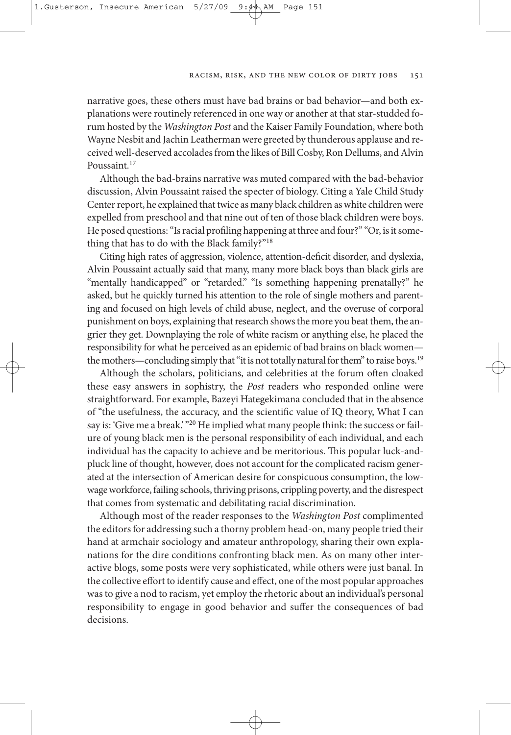#### Racism, Risk, and the New Color of Dirty Jobs 151

narrative goes, these others must have bad brains or bad behavior—and both explanations were routinely referenced in one way or another at that star-studded forum hosted by the Washington Post and the Kaiser family foundation, where both Wayne Nesbit and Jachin Leatherman were greeted by thunderous applause and received well-deserved accolades from the likes of Bill Cosby, Ron Dellums, and Alvin Poussaint.<sup>17</sup>

Although the bad-brains narrative was muted compared with the bad-behavior discussion, Alvin Poussaint raised the specter of biology. Citing a Yale Child Study Center report, he explained that twice as many black children as white children were expelled from preschool and that nine out of ten of those black children were boys. He posed questions: "Is racial profiling happening at three and four?" "Or, is it something that has to do with the Black family?"18

Citing high rates of aggression, violence, attention-deficit disorder, and dyslexia, Alvin Poussaint actually said that many, many more black boys than black girls are "mentally handicapped" or "retarded." "Is something happening prenatally?" he asked, but he quickly turned his attention to the role of single mothers and parenting and focused on high levels of child abuse, neglect, and the overuse of corporal punishment on boys, explaining that research shows the more you beat them, the angrier they get. Downplaying the role of white racism or anything else, he placed the responsibility for what he perceived as an epidemic of bad brains on black women the mothers—concluding simply that "it is not totally natural for them" to raise boys.<sup>19</sup>

Although the scholars, politicians, and celebrities at the forum often cloaked these easy answers in sophistry, the Post readers who responded online were straightforward. for example, Bazeyi Hategekimana concluded that in the absence of "the usefulness, the accuracy, and the scientific value of IQ theory, What I can say is: 'Give me a break.' "<sup>20</sup> He implied what many people think: the success or failure of young black men is the personal responsibility of each individual, and each individual has the capacity to achieve and be meritorious. This popular luck-andpluck line of thought, however, does not account for the complicated racism generated at the intersection of American desire for conspicuous consumption, the lowwage workforce, failing schools, thriving prisons, crippling poverty, and the disrespect that comes from systematic and debilitating racial discrimination.

Although most of the reader responses to the Washington Post complimented the editors for addressing such a thorny problem head-on, many people tried their hand at armchair sociology and amateur anthropology, sharing their own explanations for the dire conditions confronting black men. As on many other interactive blogs, some posts were very sophisticated, while others were just banal. In the collective effort to identify cause and effect, one of the most popular approaches wasto give a nod to racism, yet employ the rhetoric about an individual's personal responsibility to engage in good behavior and suffer the consequences of bad decisions.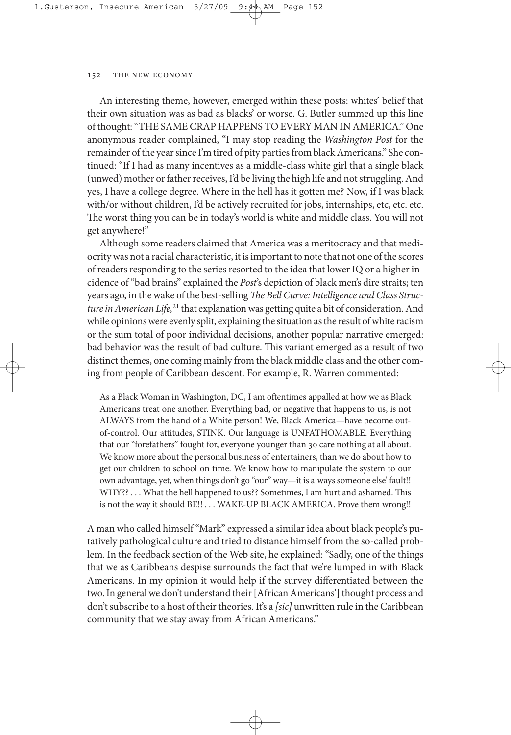An interesting theme, however, emerged within these posts: whites' belief that their own situation was as bad as blacks' or worse. G. Butler summed up this line of thought: "THE SAME CRAP HAPPENS TO EVERY MAN IN AMERICA." One anonymous reader complained, "I may stop reading the Washington Post for the remainder of the year since I'm tired of pity parties from black Americans." She continued: "If I had as many incentives as a middle-class white girl that a single black (unwed) mother or father receives, I'd be living the high life and not struggling. And yes, I have a college degree. Where in the hell has it gotten me? Now, if I was black with/or without children, I'd be actively recruited for jobs, internships, etc, etc. etc. The worst thing you can be in today's world is white and middle class. You will not get anywhere!"

Although some readers claimed that America was a meritocracy and that mediocritywas not a racial characteristic, it isimportant to note that not one of the scores of readers responding to the series resorted to the idea that lower IQ or a higher incidence of"bad brains" explained the Post's depiction of black men's dire straits; ten years ago, in the wake of the best-selling The Bell Curve: Intelligence and Class Structure in American Life,<sup>21</sup> that explanation was getting quite a bit of consideration. And while opinions were evenly split, explaining the situation as the result of white racism or the sum total of poor individual decisions, another popular narrative emerged: bad behavior was the result of bad culture. This variant emerged as a result of two distinct themes, one coming mainly from the black middle class and the other coming from people of Caribbean descent. For example, R. Warren commented:

As a Black Woman in Washington, DC, I am oftentimes appalled at how we as Black Americans treat one another. Everything bad, or negative that happens to us, is not AlWAys from the hand of a White person! We, Black America—have become outof-control. our attitudes, stInK. our language is UnfAtHoMABlE. Everything that our "forefathers" fought for, everyone younger than 30 care nothing at all about. We know more about the personal business of entertainers, than we do about how to get our children to school on time. We know how to manipulate the system to our own advantage, yet, when things don't go "our" way—it is always someone else' fault!! WHY?? . . . What the hell happened to us?? Sometimes, I am hurt and ashamed. This is not the way it should BE!! . . . WAKE-UP BLACK AMERICA. Prove them wrong!!

A man who called himself"Mark" expressed a similaridea about black people's putatively pathological culture and tried to distance himself from the so-called problem. In the feedback section of the Web site, he explained:"sadly, one of the things that we as Caribbeans despise surrounds the fact that we're lumped in with Black Americans. In my opinion it would help if the survey differentiated between the two. In general we don't understand their [African Americans'] thought process and don't subscribe to a host of their theories. It's a [sic] unwritten rule in the Caribbean community that we stay away from African Americans."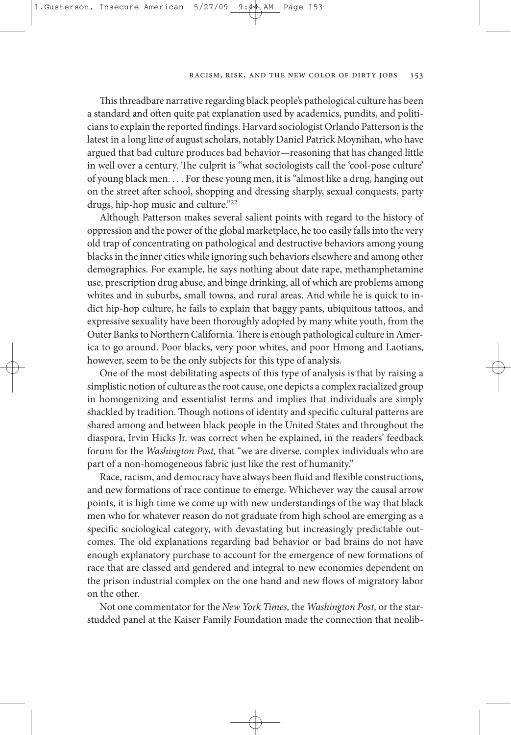This threadbare narrative regarding black people's pathological culture has been a standard and often quite pat explanation used by academics, pundits, and politiciansto explain the reported findings. Harvard sociologist orlando Patterson isthe latest in a long line of august scholars, notably Daniel Patrick Moynihan, who have argued that bad culture produces bad behavior—reasoning that has changed little in well over a century. The culprit is "what sociologists call the 'cool-pose culture' of young black men. . . . for these young men, it is"almost like a drug, hanging out on the street after school, shopping and dressing sharply, sexual conquests, party drugs, hip-hop music and culture."22

Although Patterson makes several salient points with regard to the history of oppression and the power of the global marketplace, he too easily fallsinto the very old trap of concentrating on pathological and destructive behaviors among young blacksin the inner citieswhile ignoring such behaviors elsewhere and among other demographics. for example, he says nothing about date rape, methamphetamine use, prescription drug abuse, and binge drinking, all of which are problems among whites and in suburbs, small towns, and rural areas. And while he is quick to indict hip-hop culture, he fails to explain that baggy pants, ubiquitous tattoos, and expressive sexuality have been thoroughly adopted by many white youth, from the Outer Banks to Northern California. There is enough pathological culture in America to go around. Poor blacks, very poor whites, and poor Hmong and laotians, however, seem to be the only subjects for this type of analysis.

one of the most debilitating aspects of this type of analysis is that by raising a simplistic notion of culture asthe root cause, one depicts a complex racialized group in homogenizing and essentialist terms and implies that individuals are simply shackled by tradition. Though notions of identity and specific cultural patterns are shared among and between black people in the United States and throughout the diaspora, Irvin Hicks Jr. was correct when he explained, in the readers' feedback forum for the Washington Post, that "we are diverse, complex individuals who are part of a non-homogeneous fabric just like the rest of humanity."

Race, racism, and democracy have always been fluid and flexible constructions, and new formations of race continue to emerge. Whichever way the causal arrow points, it is high time we come up with new understandings of the way that black men who for whatever reason do not graduate from high school are emerging as a specific sociological category, with devastating but increasingly predictable outcomes. The old explanations regarding bad behavior or bad brains do not have enough explanatory purchase to account for the emergence of new formations of race that are classed and gendered and integral to new economies dependent on the prison industrial complex on the one hand and new flows of migratory labor on the other.

Not one commentator for the *New York Times*, the *Washington Post*, or the starstudded panel at the Kaiser family foundation made the connection that neolib-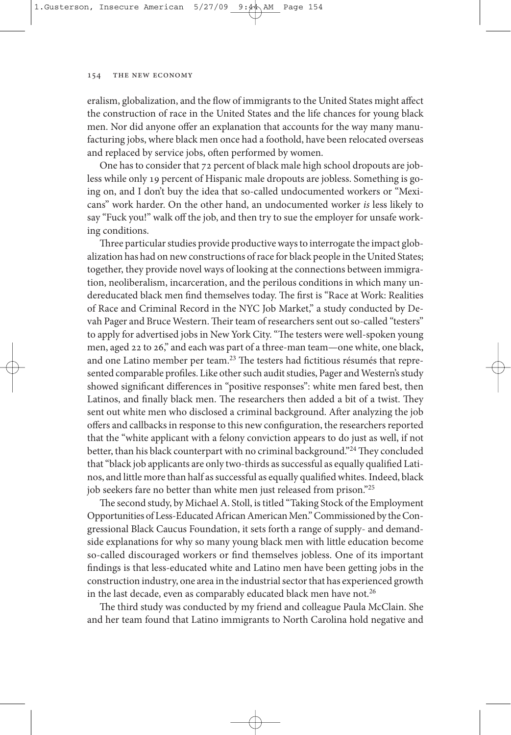eralism, globalization, and the flow of immigrants to the United states might affect the construction of race in the United States and the life chances for young black men. Nor did anyone offer an explanation that accounts for the way many manufacturing jobs, where black men once had a foothold, have been relocated overseas and replaced by service jobs, often performed by women.

One has to consider that 72 percent of black male high school dropouts are jobless while only 19 percent of Hispanic male dropouts are jobless. something is going on, and I don't buy the idea that so-called undocumented workers or "Mexicans" work harder. On the other hand, an undocumented worker is less likely to say "fuck you!" walk off the job, and then try to sue the employer for unsafe working conditions.

Three particular studies provide productive ways to interrogate the impact globalization has had on new constructions of race for black people in the United States; together, they provide novel ways of looking at the connections between immigration, neoliberalism, incarceration, and the perilous conditions in which many undereducated black men find themselves today. The first is "Race at Work: Realities of Race and Criminal Record in the NYC Job Market," a study conducted by Devah Pager and Bruce Western. Their team of researchers sent out so-called "testers" to apply for advertised jobs in New York City. "The testers were well-spoken young men, aged 22 to 26," and each was part of a three-man team—one white, one black, and one Latino member per team.<sup>23</sup> The testers had fictitious résumés that represented comparable profiles. Like other such audit studies, Pager and Western's study showed significant differences in "positive responses": white men fared best, then Latinos, and finally black men. The researchers then added a bit of a twist. They sent out white men who disclosed a criminal background. After analyzing the job offers and callbacks in response to this new configuration, the researchers reported that the "white applicant with a felony conviction appears to do just as well, if not better, than his black counterpart with no criminal background."<sup>24</sup> They concluded that "black job applicants are only two-thirds as successful as equally qualified Latinos, and little more than half as successful as equally qualified whites. Indeed, black job seekers fare no better than white men just released from prison."25

The second study, by Michael A. Stoll, is titled "Taking Stock of the Employment Opportunities of Less-Educated African American Men." Commissioned by the Congressional Black Caucus foundation, it sets forth a range of supply- and demandside explanations for why so many young black men with little education become so-called discouraged workers or find themselves jobless. one of its important findings is that less-educated white and latino men have been getting jobs in the construction industry, one area in the industrialsectorthat has experienced growth in the last decade, even as comparably educated black men have not.<sup>26</sup>

The third study was conducted by my friend and colleague Paula McClain. She and her team found that latino immigrants to north Carolina hold negative and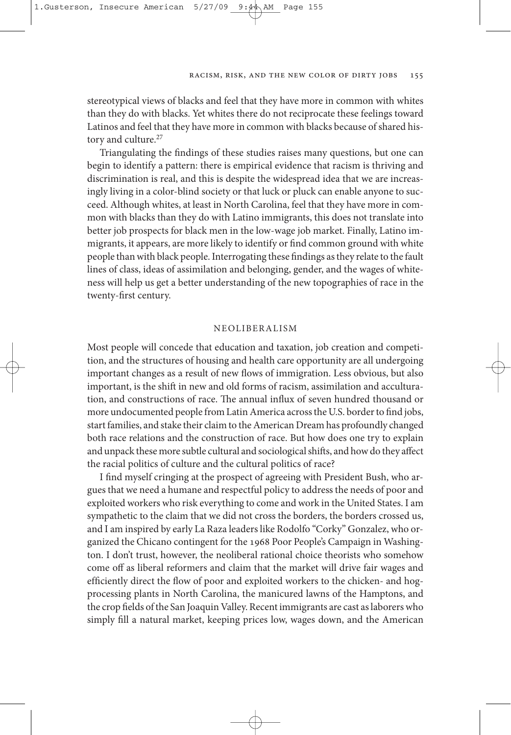stereotypical views of blacks and feel that they have more in common with whites than they do with blacks. Yet whites there do not reciprocate these feelings toward Latinos and feel that they have more in common with blacks because of shared history and culture. 27

Triangulating the findings of these studies raises many questions, but one can begin to identify a pattern: there is empirical evidence that racism is thriving and discrimination is real, and this is despite the widespread idea that we are increasingly living in a color-blind society or that luck or pluck can enable anyone to succeed. Although whites, at least in North Carolina, feel that they have more in common with blacks than they do with latino immigrants, this does not translate into better job prospects for black men in the low-wage job market. finally, latino immigrants, it appears, are more likely to identify or find common ground with white people thanwith black people.Interrogating these findings asthey relate to the fault lines of class, ideas of assimilation and belonging, gender, and the wages of whiteness will help us get a better understanding of the new topographies of race in the twenty-first century.

## nEolIBErAlIsM

Most people will concede that education and taxation, job creation and competition, and the structures of housing and health care opportunity are all undergoing important changes as a result of new flows of immigration. less obvious, but also important, is the shift in new and old forms of racism, assimilation and acculturation, and constructions of race. The annual influx of seven hundred thousand or more undocumented people from Latin America across the U.S. border to find jobs, start families, and stake their claim to the American Dream has profoundly changed both race relations and the construction of race. But how does one try to explain and unpack these more subtle cultural and sociological shifts, and how do they affect the racial politics of culture and the cultural politics of race?

I find myself cringing at the prospect of agreeing with President Bush, who argues that we need a humane and respectful policy to address the needs of poor and exploited workers who risk everything to come and work in the United states. I am sympathetic to the claim that we did not cross the borders, the borders crossed us, and I am inspired by early La Raza leaders like Rodolfo "Corky" Gonzalez, who organized the Chicano contingent for the 1968 Poor People's Campaign in Washington. I don't trust, however, the neoliberal rational choice theorists who somehow come off as liberal reformers and claim that the market will drive fair wages and efficiently direct the flow of poor and exploited workers to the chicken- and hogprocessing plants in North Carolina, the manicured lawns of the Hamptons, and the crop fields of the San Joaquin Valley. Recent immigrants are cast as laborers who simply fill a natural market, keeping prices low, wages down, and the American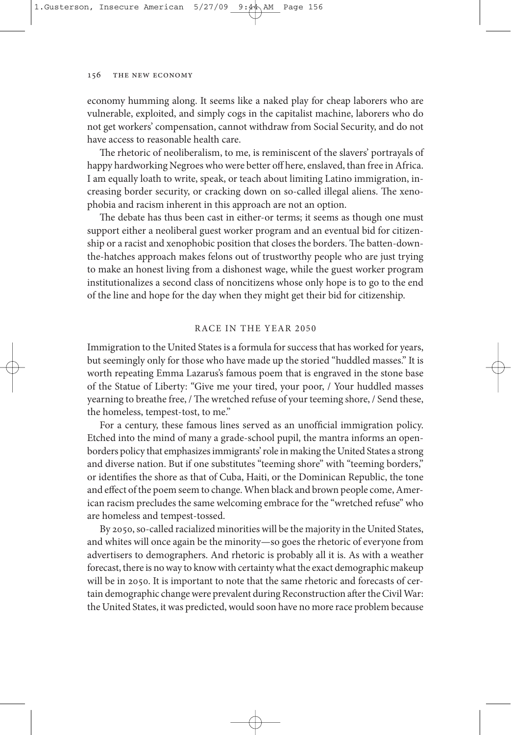economy humming along. It seems like a naked play for cheap laborers who are vulnerable, exploited, and simply cogs in the capitalist machine, laborers who do not get workers' compensation, cannot withdraw from social security, and do not have access to reasonable health care.

The rhetoric of neoliberalism, to me, is reminiscent of the slavers' portrayals of happy hardworking Negroes who were better off here, enslaved, than free in Africa. I am equally loath to write, speak, or teach about limiting latino immigration, increasing border security, or cracking down on so-called illegal aliens. The xenophobia and racism inherent in this approach are not an option.

The debate has thus been cast in either-or terms; it seems as though one must support either a neoliberal guest worker program and an eventual bid for citizenship or a racist and xenophobic position that closes the borders. The batten-downthe-hatches approach makes felons out of trustworthy people who are just trying to make an honest living from a dishonest wage, while the guest worker program institutionalizes a second class of noncitizens whose only hope is to go to the end of the line and hope for the day when they might get their bid for citizenship.

## rACE In tHE yEAr 2050

Immigration to the United States is a formula for success that has worked for years, but seemingly only for those who have made up the storied "huddled masses." It is worth repeating Emma lazarus's famous poem that is engraved in the stone base of the statue of liberty: "Give me your tired, your poor, / your huddled masses yearning to breathe free, / The wretched refuse of your teeming shore, / Send these, the homeless, tempest-tost, to me."

for a century, these famous lines served as an unofficial immigration policy. Etched into the mind of many a grade-school pupil, the mantra informs an openborders policy that emphasizes immigrants' role in making the United States a strong and diverse nation. But if one substitutes "teeming shore" with "teeming borders," or identifies the shore as that of Cuba, Haiti, or the Dominican republic, the tone and effect of the poem seem to change. When black and brown people come, American racism precludes the same welcoming embrace for the "wretched refuse" who are homeless and tempest-tossed.

By 2050, so-called racialized minorities will be the majority in the United States, and whites will once again be the minority—so goes the rhetoric of everyone from advertisers to demographers. And rhetoric is probably all it is. As with a weather forecast, there is no way to know with certainty what the exact demographic makeup will be in 2050. It is important to note that the same rhetoric and forecasts of certain demographic change were prevalent during Reconstruction after the Civil War: the United states, it was predicted, would soon have no more race problem because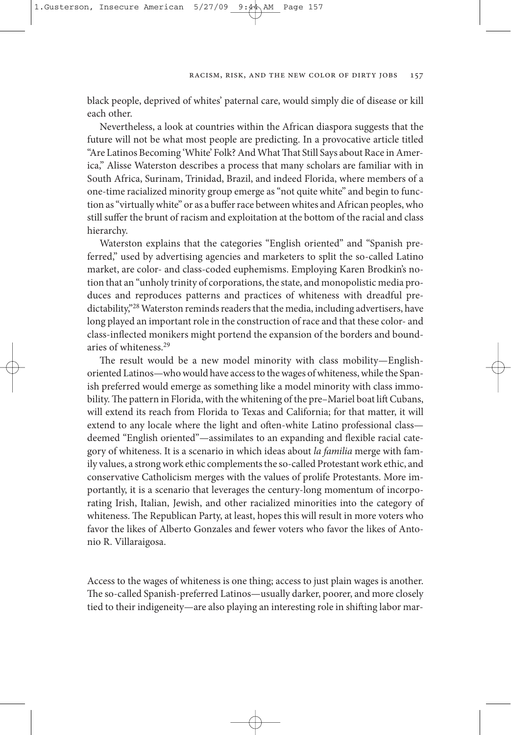black people, deprived of whites' paternal care, would simply die of disease or kill each other.

Nevertheless, a look at countries within the African diaspora suggests that the future will not be what most people are predicting. In a provocative article titled "Are Latinos Becoming 'White' Folk? And What That Still Says about Race in America," Alisse Waterston describes a process that many scholars are familiar with in south Africa, surinam, trinidad, Brazil, and indeed florida, where members of a one-time racialized minority group emerge as"not quite white" and begin to function as "virtually white" or as a buffer race between whites and African peoples, who still suffer the brunt of racism and exploitation at the bottom of the racial and class hierarchy.

Waterston explains that the categories "English oriented" and "Spanish preferred," used by advertising agencies and marketers to split the so-called latino market, are color- and class-coded euphemisms. Employing Karen Brodkin's notion that an "unholy trinity of corporations, the state, and monopolistic media produces and reproduces patterns and practices of whiteness with dreadful predictability,"<sup>28</sup> Waterston reminds readers that the media, including advertisers, have long played an important role in the construction of race and that these color- and class-inflected monikers might portend the expansion of the borders and boundaries of whiteness. 29

The result would be a new model minority with class mobility—Englishoriented Latinos—who would have access to the wages of whiteness, while the Spanish preferred would emerge as something like a model minority with class immobility. The pattern in Florida, with the whitening of the pre–Mariel boat lift Cubans, will extend its reach from Florida to Texas and California; for that matter, it will extend to any locale where the light and often-white Latino professional class deemed "English oriented"—assimilates to an expanding and flexible racial category of whiteness. It is a scenario in which ideas about la familia merge with family values, a strong work ethic complements the so-called Protestant work ethic, and conservative Catholicism merges with the values of prolife Protestants. More importantly, it is a scenario that leverages the century-long momentum of incorporating Irish, Italian, Jewish, and other racialized minorities into the category of whiteness. The Republican Party, at least, hopes this will result in more voters who favor the likes of Alberto Gonzales and fewer voters who favor the likes of Antonio R. Villaraigosa.

Access to the wages of whiteness is one thing; access to just plain wages is another. The so-called Spanish-preferred Latinos—usually darker, poorer, and more closely tied to their indigeneity—are also playing an interesting role in shifting labor mar-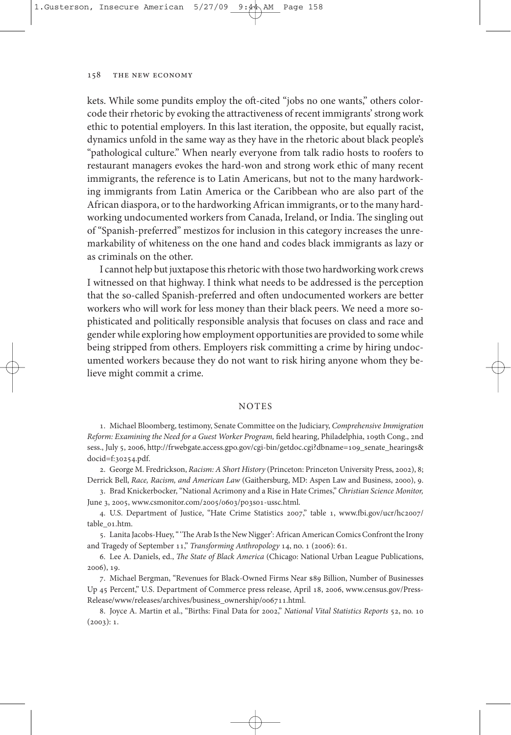kets. While some pundits employ the oft-cited "jobs no one wants," others colorcode their rhetoric by evoking the attractiveness of recent immigrants' strong work ethic to potential employers. In this last iteration, the opposite, but equally racist, dynamics unfold in the same way as they have in the rhetoric about black people's "pathological culture." When nearly everyone from talk radio hosts to roofers to restaurant managers evokes the hard-won and strong work ethic of many recent immigrants, the reference is to latin Americans, but not to the many hardworking immigrants from latin America or the Caribbean who are also part of the African diaspora, orto the hardworkingAfrican immigrants, orto the many hardworking undocumented workers from Canada, Ireland, or India. The singling out of "spanish-preferred" mestizos for inclusion in this category increases the unremarkability of whiteness on the one hand and codes black immigrants as lazy or as criminals on the other.

I cannot help but juxtapose this rhetoric with those two hardworking work crews I witnessed on that highway. I think what needs to be addressed is the perception that the so-called Spanish-preferred and often undocumented workers are better workers who will work for less money than their black peers. We need a more sophisticated and politically responsible analysis that focuses on class and race and gender while exploring how employment opportunities are provided to some while being stripped from others. Employers risk committing a crime by hiring undocumented workers because they do not want to risk hiring anyone whom they believe might commit a crime.

### notEs

1. Michael Bloomberg, testimony, Senate Committee on the Judiciary, Comprehensive Immigration Reform: Examining the Need for a Guest Worker Program, field hearing, Philadelphia, 109th Cong., 2nd sess., July 5, 2006, http://frwebgate.access.gpo.gov/cgi-bin/getdoc.cgi?dbname=109\_senate\_hearings& docid=f:30254.pdf.

2. George M. fredrickson, Racism: A Short History (Princeton: Princeton University Press, 2002), 8; Derrick Bell, Race, Racism, and American Law (Gaithersburg, MD: Aspen law and Business, 2000), 9.

3. Brad Knickerbocker, "National Acrimony and a Rise in Hate Crimes," Christian Science Monitor, June 3, 2005, www.csmonitor.com/2005/0603/p03s01-ussc.html.

4. U.S. Department of Justice, "Hate Crime Statistics 2007," table 1, www.fbi.gov/ucr/hc2007/ table\_01.htm.

5. Lanita Jacobs-Huey, "'The Arab Is the New Nigger': African American Comics Confront the Irony and Tragedy of September 11," Transforming Anthropology 14, no. 1 (2006): 61.

6. Lee A. Daniels, ed., The State of Black America (Chicago: National Urban League Publications, 2006), 19.

7. Michael Bergman, "Revenues for Black-Owned Firms Near \$89 Billion, Number of Businesses Up 45 Percent," U.s. Department of Commerce press release, April 18, 2006, www.census.gov/Press-Release/www/releases/archives/business\_ownership/006711.html.

8. Joyce A. Martin et al., "Births: final Data for 2002," National Vital Statistics Reports 52, no. 10  $(2003): 1.$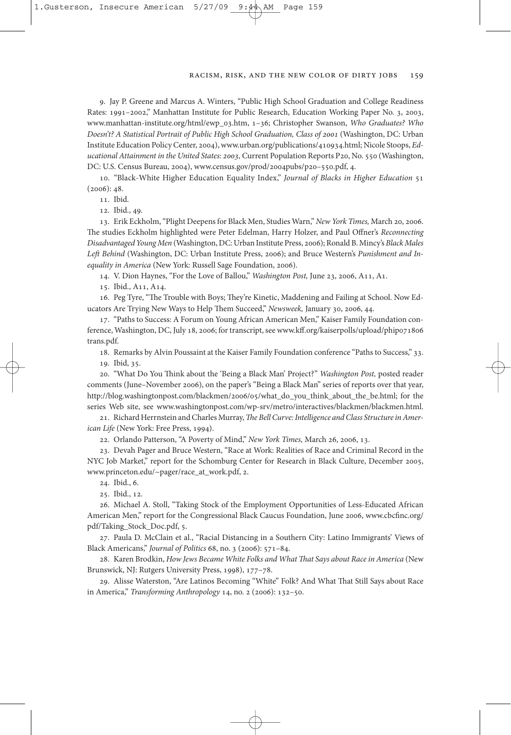#### Racism, Risk, and the New Color of Dirty Jobs 159

9. Jay P. Greene and Marcus A. Winters, "Public High School Graduation and College Readiness Rates: 1991–2002," Manhattan Institute for Public Research, Education Working Paper No. 3, 2003, www.manhattan-institute.org/html/ewp\_03.htm, 1–36; Christopher swanson, Who Graduates? Who Doesn't? A Statistical Portrait of Public High School Graduation, Class of 2001 (Washington, DC: Urban Institute Education PolicyCenter, 2004),www.urban.org/publications/410934.html; nicole stoops, Educational Attainment in the United States: 2003, Current Population Reports P20, No. 550 (Washington, DC: U.s. Census Bureau, 2004), www.census.gov/prod/2004pubs/p20–550.pdf, 4.

10. "Black-White Higher Education Equality Index," Journal of Blacks in Higher Education 51  $(2006): 48.$ 

11. Ibid.

12. Ibid., 49.

13. Erik Eckholm,"Plight Deepensfor Black Men, studies Warn," New York Times, March 20, 2006. The studies Eckholm highlighted were Peter Edelman, Harry Holzer, and Paul Offner's Reconnecting Disadvantaged Young Men (Washington, DC: Urban Institute Press, 2006); Ronald B. Mincy's Black Males Left Behind (Washington, DC: Urban Institute Press, 2006); and Bruce Western's Punishment and Inequality in America (New York: Russell Sage Foundation, 2006).

14. v. Dion Haynes, "for the love of Ballou," Washington Post, June 23, 2006, A11, A1.

15. Ibid., A11, A14.

16. Peg Tyre, "The Trouble with Boys; They're Kinetic, Maddening and Failing at School. Now Educators Are Trying New Ways to Help Them Succeed," Newsweek, January 30, 2006, 44.

17. "Paths to success: A forum on young African American Men," Kaiser family foundation conference, Washington, DC, July 18, 2006; for transcript, see www.kff.org/kaiserpolls/upload/phip071806 trans.pdf.

18. Remarks by Alvin Poussaint at the Kaiser Family Foundation conference "Paths to Success," 33.

19. Ibid, 35.

20. "What Do You Think about the 'Being a Black Man' Project?" Washington Post, posted reader comments (June–November 2006), on the paper's "Being a Black Man" series of reports over that year, http://blog.washingtonpost.com/blackmen/2006/05/what\_do\_you\_think\_about\_the\_be.html; for the series Web site, see www.washingtonpost.com/wp-srv/metro/interactives/blackmen/blackmen.html.

21. Richard Herrnstein and Charles Murray, The Bell Curve: Intelligence and Class Structure in American Life (New York: Free Press, 1994).

22. Orlando Patterson, "A Poverty of Mind," New York Times, March 26, 2006, 13.

23. Devah Pager and Bruce Western, "Race at Work: Realities of Race and Criminal Record in the NYC Job Market," report for the Schomburg Center for Research in Black Culture, December 2005, www.princeton.edu/~pager/race\_at\_work.pdf, 2.

24. Ibid., 6.

25. Ibid., 12.

26. Michael A. Stoll, "Taking Stock of the Employment Opportunities of Less-Educated African American Men," report for the Congressional Black Caucus foundation, June 2006, www.cbcfinc.org/ pdf/Taking\_Stock\_Doc.pdf, 5.

27. Paula D. McClain et al., "Racial Distancing in a Southern City: Latino Immigrants' Views of Black Americans," Journal of Politics 68, no. 3 (2006): 571–84.

28. Karen Brodkin, How Jews Became White Folks and What That Says about Race in America (New Brunswick, NJ: Rutgers University Press, 1998), 177-78.

29. Alisse Waterston, "Are Latinos Becoming "White" Folk? And What That Still Says about Race in America," Transforming Anthropology 14, no. 2 (2006): 132–50.